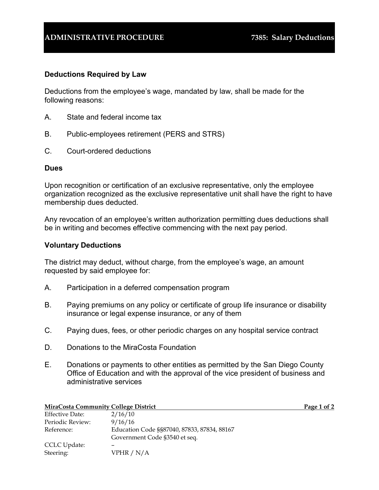## **ADMINISTRATIVE PROCEDURE 7385: Salary Deductions**

## **Deductions Required by Law**

Deductions from the employee's wage, mandated by law, shall be made for the following reasons:

- A. State and federal income tax
- B. Public-employees retirement (PERS and STRS)
- C. Court-ordered deductions

## **Dues**

Upon recognition or certification of an exclusive representative, only the employee organization recognized as the exclusive representative unit shall have the right to have membership dues deducted.

Any revocation of an employee's written authorization permitting dues deductions shall be in writing and becomes effective commencing with the next pay period.

## **Voluntary Deductions**

The district may deduct, without charge, from the employee's wage, an amount requested by said employee for:

- A. Participation in a deferred compensation program
- B. Paying premiums on any policy or certificate of group life insurance or disability insurance or legal expense insurance, or any of them
- C. Paying dues, fees, or other periodic charges on any hospital service contract
- D. Donations to the MiraCosta Foundation
- E. Donations or payments to other entities as permitted by the San Diego County Office of Education and with the approval of the vice president of business and administrative services

| <b>MiraCosta Community College District</b> |                                             | Page 1 of $2$ |
|---------------------------------------------|---------------------------------------------|---------------|
| <b>Effective Date:</b>                      | 2/16/10                                     |               |
| Periodic Review:                            | 9/16/16                                     |               |
| Reference:                                  | Education Code §§87040, 87833, 87834, 88167 |               |
|                                             | Government Code §3540 et seq.               |               |
| CCLC Update:                                |                                             |               |
| Steering:                                   | VPHR $/N/A$                                 |               |